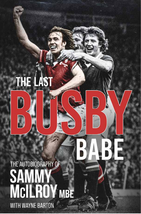### THE LAST

### THE AUTOBIOGRAPHY OF SAMMY<br>MCILROY MBE **WITH WAYNE BARTON**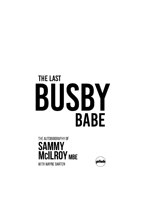## **THE LAST** BUSBY **BABE**



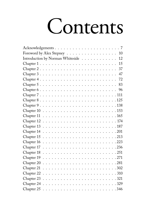## Contents

| Foreword by Alex Stepney<br>10         |
|----------------------------------------|
| Introduction by Norman Whiteside<br>12 |
| 15                                     |
| 37                                     |
| 47                                     |
| 72                                     |
| 83                                     |
| 96                                     |
|                                        |
|                                        |
|                                        |
|                                        |
|                                        |
|                                        |
|                                        |
|                                        |
|                                        |
|                                        |
|                                        |
|                                        |
|                                        |
| .281                                   |
|                                        |
| . 310                                  |
|                                        |
|                                        |
|                                        |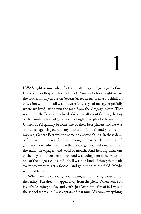# 1

I WAS eight or nine when football really began to get a grip of me. I was a schoolboy at Mersey Street Primary School, right across the road from my house on Severn Street in east Belfast. I think an obsession with football was the case for every lad my age, especially where we lived, just down the road from the Cregagh estate. That was where the Best family lived. We knew all about George, the boy of the family, who had gone over to England to play for Manchester United. He'd quickly become one of their best players and he was still a teenager. If you had any interest in football and you lived in my area, George Best was the name on everyone's lips. In these days, before every house was fortunate enough to have a television – and I grew up in one which wasn't – then you'd get your information from the radio, newspaper, and word of mouth. And hearing what one of the boys from our neighbourhood was doing across the water for one of the biggest clubs in football was the kind of thing that made every boy want to get a football and go out on to the field. Maybe we could be next.

When you are so young, you dream, without being conscious of the reality. The dreams happen away from the pitch. When you're on it you're learning to play and you're just loving the fun of it. I was in the school team and I was captain of it at nine. We won everything.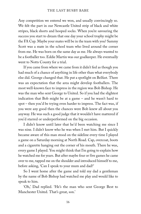Any competition we entered we won, and usually convincingly so. We felt the part in our Newcastle United strip of black and white stripes, black shorts and hooped socks. When you're savouring the success you start to dream that one day your school trophy might be the FA Cup. Maybe your mates will be in the team with you? Sammy Scott was a mate in the school team who lived around the corner from me. He was born on the same day as me. He always wanted to be a footballer too. Eddie Martin was our goalkeeper. He eventually went to Notts County for a trial.

If you came from where we came from it didn't feel as though you had much of a chance of anything in life other than what everybody else did. George changed that. He put a spotlight on Belfast. There was an expectation that the area might develop footballers. The most well-known face to impress in the region was Bob Bishop. He was the man who sent George to United. So if you had the slightest indication that Bob might be at a game – and he wasn't hard to spot – then you'd be trying even harder to impress. The fact was, if you were any good then the chances were Bob knew all about you anyway. He was such a good judge that it wouldn't have mattered if you'd starred or underperformed on the big occasion.

I didn't know until later that he'd been watching me since I was nine. I didn't know who he was when I met him. But I quickly became aware of this man stood on the sideline every time I played a game on a Saturday morning at North Road. Cap, overcoat, boots and a cigarette hanging out the corner of his mouth. There he was, every game I played. You might think that I'm going to explain how he watched me for years. But after maybe four or five games he came over to me, tapped me on the shoulder and introduced himself to me, before asking, 'Can I speak to your mum and dad?'

So I went home after the game and told my dad a gentleman by the name of Bob Bishop had watched me play and would like to speak to him.

'Oh,' Dad replied. 'He's the man who sent George Best to Manchester United. That's great, son.'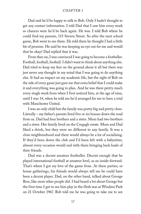Dad said he'd be happy to talk to Bob. Only I hadn't thought to get any contact information. I told Dad that I saw him every week so chances were he'd be back again. He was. I told Bob where he could find my parents, 115 Severn Street. So after the next school game, Bob went to see them. He told them he thought I had a little bit of promise. He said he was keeping an eye out for me and would that be okay? Dad replied that it was.

From then on, I was convinced I was going to become a footballer. Football, football, football. I didn't want to think about anything else. Dad tried to keep my feet on the ground about it all but there was just never any thought in my mind that I was going to do anything else. It had an impact on my academic life, but the sight of Bob on the side of every game just gave me that extra belief that I could make it and everything was going to plan. And he was there pretty much every single week from when I first noticed him, at the age of nine, until I was 14, when he told me he'd arranged for me to have a trial with Manchester United.

I was an only child but the family was pretty big and pretty close. Literally – my father's parents lived five or six houses down the road from us. Dad had four brothers and a sister. Mum had two brothers and a sister. Her family lived on the Cregagh estate. Mum and Dad liked a drink, but they were no different to any family. It was a close neighbourhood and there would always be a lot of socialising. If they'd been down the club and I'd been left with a babysitter, almost every occasion would end with them bringing back loads of their friends.

Dad was a decent amateur footballer. Decent enough that he played international football at amateur level, as an inside-forward. That's where I got my love of the game from. At these parties, or house gatherings, his friends would always tell me he could have been a decent player. Dad, on the other hand, talked about George Best, like most other people did. I had heard a lot about George but the first time I got to see him play in the flesh was at Windsor Park on 21 October 1967. Bob told me he was going to take me to see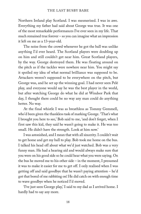Northern Ireland play Scotland. I was mesmerised. I was in awe. Everything my father had said about George was true. It was one of the most remarkable performances I've ever seen in my life. That much remained true forever – so you can imagine what an impression it left on me as a 13-year-old.

The noise from the crowd whenever he got the ball was unlike anything I'd ever heard. The Scotland players were doubling up on him and still couldn't get near him. Great Scotland players, by the way. George destroyed them. He was floating around on the pitch as if the tackles were nowhere near him. You might say it spoiled my idea of what normal brilliance was supposed to be. Attackers weren't supposed to be everywhere on the pitch, but George was, and he set up the winning goal. I had never seen Pelé play, and everyone would say he was the best player in the world, but after watching George do what he did at Windsor Park that day, I thought there could be no way any man could do anything better. No way.

At the final whistle I was as breathless as Tommy Gemmell, who'd been given the thankless task of marking George. 'That's what I brought you here to see,' Bob said to me, 'and don't forget, when I first saw this kid, they said he wasn't going to make it. He was too small. He didn't have the strength. Look at him now.'

I was astonished, and I mean that with all sincerity. I couldn't wait to get home and get my ball to play. Bob took me home on the bus. I talked his head off about what we'd just watched. Bob was a very funny man. He had a hearing aid and would always make sure that you were on his good side so he could hear what you were saying. On the bus he moved me to his other side – in the moment, I presumed it was to make it easier for me to get off. I only realised when I was getting off and said goodbye that he wasn't paying attention – he'd got that bored of me rabbiting on! He did catch on with enough time to wave goodbye when he noticed I'd moved.

'I've just seen George play,' I said to my dad as I arrived home. I hardly had to say any more.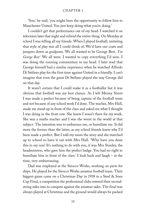'Son,' he said, 'you might have the opportunity to follow him to Manchester United. You just keep doing what you're doing.'

I couldn't get that performance out of my head. I watched it on television later that night and relived the entire thing. On Monday at school I was telling all my friends. When I played football, imitating that style of play was all I could think of. We'd have our coats and jumpers down as goalposts. We all wanted to be George Best. *'I'm George Best.'* We all were. I wanted to copy everything I'd seen. I was doing the running commentary in my head. I later read that George himself had a similar experience when he watched Alfredo Di Stéfano play for the first time against United in a friendly. I can't imagine that even the great Di Stéfano played the way George did on that day.

It wasn't certain that I could make it as a footballer but it was obvious that football was my best chance. As I left Mersey Street I was made a prefect because of being captain of the football team and not because of any school work I'd done. The teacher, Mrs Hall, made me stand up in front of the class and asked me what I thought I was doing in the front row. She knew I wasn't there for my work. She was a maths teacher and I was the worst in the world at that subject. The intention was to embarrass me, or humiliate me. It did more the former than the latter, as my school friends knew why I'd been made a prefect. But I told my mum the story and she marched up to school to have it out with Mrs Hall. 'Why have you done this to my son? It's nothing to do with you, it was Mrs Stanley, the headmistress, who gave him the prefect badge. You had no right to humiliate him in front of the class.' I look back and laugh – at the time, very embarrassing.

Dad was employed at the Sirocco Works, working on parts for ships. He played for the Sirocco Works amateur football team. Their biggest game came on a Christmas Day in 1938 in a Steel & Sons Cup Final, a competition the professional clubs entered their secondstring sides into to compete against the amateur sides. The final was always played at Christmas and the ground would always be packed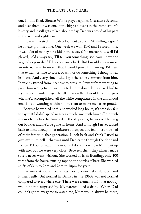out. In this final, Sirocco Works played against Crusaders Seconds and beat them. It was one of the biggest upsets in the competition's history and it still gets talked about today. Dad was proud of his part in the win and rightly so.

He was invested in my development as a kid. 'A shilling a goal,' he always promised me. One week we won 11-0 and I scored nine. It was a lot of money for a kid in those days! No matter how well I'd played, he'd always say, 'I'll tell you something, son, you'll never be as good as your dad.' I'd never answer back. But I would always make an internal vow to myself that I would prove him wrong. I'd have that extra incentive to score, or win, or do something I thought was brilliant. And every time I did, I got the same comment from him. It quickly turned from incentive to pressure. It went from wanting to prove him wrong to not wanting to let him down. It was like I had to try my best in order to get the affirmation that I would never surpass what he'd accomplished, all the while complicated in the childhood emotions of wanting nothing more than to make my father proud.

Because he worked hard, and worked long hours, it's probably fair to say that I didn't spend nearly as much time with him as I did with my mother. Once he finished at the shipyards, he worked helping out bookies and he'd be gone all hours. And although I never talked back to him, through that mixture of respect and fear most kids had of their father in that generation, I look back and think I used to give my mum hell – that was until Dad came through the door and I knew I'd better watch my mouth. I don't know how Mum put up with me, but we were very close. Between them they always made sure I never went without. She worked at Irish Bonding, only 100 yards from the house, putting tops on the bottles of beer. She worked shifts of 6am to 2pm and 2pm to 10pm for years.

I've made it sound like it was mostly a normal childhood, and it was, really. But normal in Belfast in the 1960s was not normal compared to everywhere else. There were elements of it that nobody would be too surprised by. My parents liked a drink. When Dad couldn't get to my game to watch me, Mum would always be there,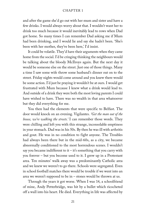and after the game she'd go out with her mum and sister and have a few drinks. I would always worry about that. I wouldn't want her to drink too much because it would inevitably lead to rows when Dad got home. So many times I can remember Dad asking me if Mum had been drinking, and I would lie and say she hadn't been. 'She's been with her mother, they've been here,' I'd insist.

It could be volatile. They'd have their arguments when they came home from the social. I'd be cringing thinking the neighbours would be talking about the bloody McIlroys again. But the next day it would be someone else on the street. Just one of those things. Many a time I saw some wife throw some husband's dinner out on to the street. Friday nights would come around and you knew there would be some action. I'd just be praying it wouldn't be at ours. I would get frustrated with Mum because I knew what a drink would lead to. And outside of a drink they were both the most loving parents I could have wished to have. There was no wealth in that area whatsoever but they did everything for me.

You then had the elements that were specific to Belfast. The door would knock on an evening. Vigilantes. *'Get the man out of the house, we're walking the streets.'* I can remember those words. They were chilling and left you with this strange, inconsolable emptiness in your stomach. Dad was in his 50s. By then he was ill with arthritis and gout. He was in no condition to fight anyone. The Troubles had always been there but in the mid-60s, as a city, we became abnormally conditioned to the most horrendous scenes. I wouldn't say you became indifferent to it – it's something that you carry with you forever – but you become used to it. I grew up in a Protestant area. Ten minutes' walk away was a predominantly Catholic area and we knew we weren't to go there. Schools were segregated. Even in school football matches there would be trouble if we went into an area we weren't supposed to be in – stones would be thrown at us.

Through the years it got worse. When I was 14, a schoolfriend of mine, Andy Petterbridge, was hit by a bullet which ricocheted off a wall into his heart. He died. Everything in life was affected by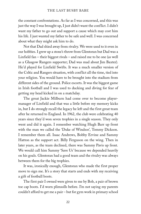the constant confrontations. As far as I was concerned, and this was just the way I was brought up, I just didn't want the conflict. I didn't want my father to go out and support a cause which may cost him his life. I just wanted my father to be safe and well. I was concerned about what they might ask him to do.

Not that Dad shied away from rivalry. We were used to it even in our hobbies. I grew up a stone's throw from Glentoran but Dad was a Linfield fan – their biggest rivals – and raised me to be one (as well as a Glasgow Rangers supporter; Dad was mad about Jim Baxter). He'd played for Linfield Swifts. It was a much smaller version of the Celtic and Rangers situation, with conflict all the time, tied into your religion. You would have to be brought into the stadium from different sides of the ground. Police escorts. It was the biggest game in Irish football and I was used to ducking and diving for fear of getting my head kicked in on a matchday.

The great Jackie Milburn had come over to become playermanager of Linfield and that was a little before my memory kicks in, but I do strongly recall the legacy he left and the first great team after he returned to England. In 1962, the club were celebrating 40 years since they'd won seven trophies in a single season. They only went and did it again. I remember watching Hugh Barr up front with the man we called the 'Duke of Windsor', Tommy Dickson. I remember them all. Isaac Andrews, Bobby Ervine and Sammy Hatton as the support act. Billy Ferguson on the wing. Then in later years, as the team declined, there was Sammy Pavis up front. We would call him Sammy 'Save Us' because we depended heavily on his goals. Glentoran had a good team and the rivalry was always between them for the big trophies.

It was, ironically enough, Glentoran who made the first proper move to sign me. It's a story that starts and ends with my receiving a gift of football boots.

The first pair I owned were given to me by Bob, a pair of brown toe cap boots. I'd worn plimsolls before. I'm not saying my parents couldn't afford to get me a pair – but for gym work in primary school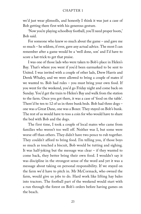we'd just wear plimsolls, and honestly I think it was just a case of Bob getting there first with his generous gesture.

'Now you're playing schoolboy football, you'll need proper boots,' Bob said.

For someone who knew so much about the game – and gave me so much – he seldom, if ever, gave any actual advice. The most I can remember after a game would be a 'well done, son' and I'd have to score a hat-trick to get that praise.

I was one of those lads who were taken to Bob's place in Helen's Bay. That's where you went if you'd been earmarked to be sent to United. I was invited with a couple of other lads, Drew Harris and Derek Whaley, and we were allowed to bring a couple of mates if we wanted to. Bob had rules – you must bring your own food. If you went for the weekend, you'd go Friday night and come back on Sunday. You'd get the train to Helen's Bay and walk from the station to the farm. Once you got there, it was a case of 'food on the table'. There'd be ten to 12 of us in three bunk beds. Bob had three dogs – one was a Great Dane, one was a Boxer. They stayed on Bob's bunk. The rest of us would have to toss a coin for who would have to share the bed with Bob and the dogs.

The first time, I took a couple of local mates who came from families who weren't too well off. Neither was I, but some were worse off than others. They didn't have two pence to rub together. They couldn't afford to bring food. I'm telling you, if those boys so much as touched a biscuit, Bob would be tutting and sighing. It was half-joking but the message was clear – if they wanted to come back, they better bring their own food. I wouldn't say it was discipline in the strongest sense of the word and yet it was a message about taking on personal responsibility. If we stayed on the farm we'd have to pitch in. Mr McCormack, who owned the farm, would give us jobs to do. Hard work like lifting hay bales into tractors. The football part of the weekend would start with a run through the forest on Bob's orders before having games on the beach.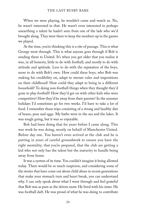When we were playing, he wouldn't come and watch us. No, he wasn't interested in that. He wasn't even interested in perhaps unearthing a talent he hadn't seen from one of the lads who we'd brought along. They were there to keep the numbers up in the games we played.

At the time, you're thinking this is a rite of passage. This is what George went through. This is what anyone goes through if Bob is sending them to United. It's when you get older that you realise it was, in all honesty, little to do with football, and mostly to do with attitude and aptitude. Less to do with the reputation of the boys, more to do with Bob's own. How could these boys, who Bob was staking his credibility on, adapt to sterner rules and impositions on their childhood? How could they adapt to being in a different household? To doing non-football things when they thought they'd gone to play football? How they'd get on with other kids who were competitive? How they'd be away from their parents? In the summer holidays I'd sometimes go for two weeks. I'd have to take a lot of food. I remember those trips consisting of a strong and healthy diet of beans, peas and eggs. My baths were in the sea and the lakes. It was tough going, but it was so enjoyable.

Bob had been doing that for years before I came along. This was work he was doing, mostly on behalf of Manchester United. Before day one. You haven't even arrived at the club and he is putting in years of careful groundwork to ensure you have the right mentality, that you're prepared, that the club are getting a kid who not only has the talent but the maturity to handle being away from home.

It was a system of its time. You couldn't imagine it being allowed today. There would be so much suspicion, and considering some of the stories that have come out about child abuse in recent generations that make your stomach turn and heart break, you can understand why. I can only speak about what I went through and feel grateful that Bob was as pure as the driven snow. He lived with his sister. He was football daft. He was proud of what he was doing to contribute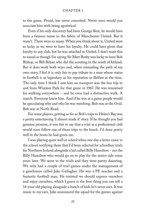to the game. Proud, but never conceited. Never once would you associate him with being egotistical.

Even if his only discovery had been George Best, he would have been a famous name in the fabric of Manchester United. But it wasn't. There were so many. When you think about it, United were as lucky as we were to have his loyalty. He could have given that loyalty to any club, but he was attached to United. I don't want this to sound as though I'm saying Sir Matt Busby was lucky to have Bob Bishop, or Bill Behan who did the scouting in the south of Ireland. But it does work both ways and, when retreading the path of my own story, I feel it is only fair to pay tribute to a man whose status in football is as legendary as his reputation in Belfast at the time. The only time I think I saw him on transport was the bus trip to and from Windsor Park for that game in 1967. He was renowned for walking everywhere – and he even had a distinctive walk. A march. Everyone knew him. And if he was at a game people would be speculating why and who he was watching. Bob was at the Oval. Bob was at North Road.

For some players, getting as far as Bob's trips to Helen's Bay was a pretty entertaining 'I almost made it' story. If he thought you had genuine promise, it was fair to say that a trial at a professional club would soon follow one of those trips to the beach. I'd done pretty well in the boots he had given me.

I was playing quite well at school when one day a letter came to the school notifying them that I'd been selected for schoolboy trials for Northern Ireland alongside a lad called Billy Hamilton – not the Billy Hamilton who would go on to play for the senior side some years later. We went to the trials and they were pretty daunting. We only had a couple of trial games under the management of a gentleman called Jake Gallagher. He was a PE teacher and a fantastic football man. He insisted we should express ourselves and enjoy ourselves, which I guess is the best thing you can tell a 14-year-old playing alongside a bunch of kids he's never met. It was music to my ears. Jake announced the squad for the games against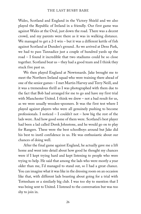Wales, Scotland and England in the Victory Shield and we also played the Republic of Ireland in a friendly. Our first game was against Wales at the Oval, just down the road. There was a decent crowd, and my parents were there as it was in walking distance. We managed to get a 2-1 win – but it was a different kettle of fish against Scotland at Dundee's ground. As we arrived at Dens Park, we had to pass Tannadice just a couple of hundred yards up the road – I found it incredible that two stadiums could be so close together. Scotland beat us – they had a good team and I think they stuck five past us.

We then played England at Newtonards. Jake brought me to meet the Northern Ireland squad who were training there ahead of one of the senior games – I met Martin Harvey and Terry Neill, and it was a tremendous thrill as I was photographed with them due to the fact that Bob had arranged for me to go and have my first trial with Manchester United. I think we drew – not a bad result for us, as we were usually wooden-spooners. It was the first test where I played against players who were all genuinely pushing to become professionals. I noticed – I couldn't not – how big the rest of the lads were. And how good some of them were. Scotland's best player had been a lad called Derek Johnstone, and he would go on to play for Rangers. These were the best schoolboys around but Jake did his best to instil confidence in us. He was enthusiastic about our chances of doing well.

After the final game against England, he actually gave me a lift home and went into detail about how good he thought my chances were if I kept trying hard and kept listening to people who were trying to help. He said that among the lads who were mostly a year older than me, I'd managed to stand out, so I had a great chance. You can imagine what it was like in the dressing room on an occasion like that, with different lads boasting about going for a trial with Tottenham or a similarly big club. I was too shy to mention that I was being sent to United. I listened to the conversation but was too shy to join in.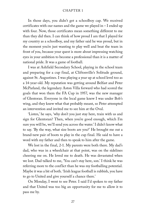In those days, you didn't get a schoolboy cap. We received certificates with our names and the game we played in  $-I$  ended up with four. Now, those certificates mean something different to me than they did then. I can think of how proud I am that I played for my country as a schoolboy, and my father said he was proud, but in the moment you're just wanting to play well and beat the team in front of you, because your quest is more about impressing watching eyes in your ambition to become a professional than it is a matter of national pride. It was a game of football.

I was at Ashfield Secondary School, playing in the school team and preparing for a cup final, at Cliftonville's Solitude ground, against St. Augustines. I was playing a year up at school level too as a 14-year-old. My reputation was getting around Belfast and Peter McParland, the legendary Aston Villa forward who had scored the goals that won them the FA Cup in 1957, was the new manager of Glentoran. Everyone in the local game knew I was under Bob's wing, and they knew what that probably meant, so Peter attempted an intervention and invited me to see him at the Oval.

'Listen,' he says, 'why don't you just stay here, train with us and sign for Glentoran? Then, when you're good enough, which I'm sure you will be, we'll send you across the water.' I didn't know what to say. 'By the way, what size boots are you?' He brought me out a brand-new pair of boots to play in the cup final. He said to have a word with my father and then to speak to him after the game.

We lost in the final, 2-1. My parents were both there. My dad's dad, who was in a wheelchair at that point, was on the sidelines cheering me on. He loved me to death. He was devastated when we lost. Dad talked to me, 'You can't stay here, son.' I think he was referring more to the conflict than he was my footballing potential. Maybe it was a bit of both. 'Irish league football is rubbish, you have to go to United and give yourself a chance there.'

On Monday, I went to see Peter. I said I'd spoken to my father and that United was too big an opportunity for me to allow it to pass me by.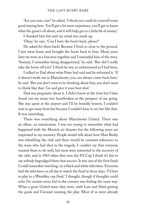'Are you sure, son?' he asked. 'I think you could do yourself some good staying here. You'll get a lot more experience, you'll get to know what the game's all about, and it will help get us a little bit of money.'

I thanked him but said my mind was made up.

'Okay,' he says. 'Can I have the boots back, please?'

He asked for them back! Because I lived so close to the ground, I just went home and brought the boots back to him. Many years later we were at a function together and I reminded him of the story. 'Sammy, I remember being disappointed,' he said. 'But did I really take the boots off you?' I think he was as embarrassed as I had been.

I talked to Dad about what Peter had said and he reframed it. 'If it doesn't work out in Manchester, you can always come back here,' he said. 'But you don't want to be thinking about that, you don't want to think like that. Go and give it your best shot.'

Dad was pragmatic about it. I didn't know at the time but I later found out my mum was heartbroken at the prospect of me going. She was upset at the airport and I'll be brutally honest, I couldn't wait to get away from her because I couldn't bear to see her like that. It was unsettling.

There was something about Manchester United. There was an allure, an intoxication. I was too young to remember what had happened with the Munich air disaster but the following years are imprinted in my memory. People would talk about how Matt Busby was rebuilding the club and there would be constant references to the team who had died in the tragedy. I couldn't say that everyone wanted them to do well, but most were interested in the recovery of the club, and in 1963 when they won the FA Cup I think it's fair to say nobody begrudged them that success. It was one of the first finals I could remember watching, on a black and white television. Everyone had the television on all day to watch the final in those days. 'I'd love to play in a Wembley cup final,' I thought, though if thoughts could echo I'm certain every kid in the country was feeling the same way. What a great United team they were, with Law and Herd getting the goals and Crerand running the play. Most of us were already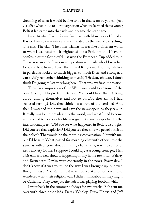dreaming of what it would be like to be in that team so you can just visualise what it did to our imagination when we learned that a young Belfast lad came into that side and became the star name.

I was 14 when I went for my first trial with Manchester United at Easter. I was blown away and intimidated by the size of everything. The city. The club. The other trialists. It was like a different world to what I was used to. It frightened me a little bit and I have to confess that the fact they'd just won the European Cup added to it. There was an aura. I was in competition with lads who I knew had to be the best from all over the United Kingdom. The English lads in particular looked so much bigger, so much fitter and stronger. I can vividly remember thinking to myself, 'Oh dear, oh dear. I don't think I'm going to last very long here.' That was my first impression.

Their first impression of us? Well, you could hear some of the boys talking, 'They're from Belfast.' You could hear them talking aloud, among themselves and not to us. Did they think I had suffered terribly? Did they think I was part of the conflict? And then I watched the news and saw the newspapers as they saw it. It really was being broadcast to the world, and what I had become accustomed to as everyday life was given its true perspective by the international press. 'Did you see what happened in Belfast last night? Did you see that explosion? Did you see they threw a petrol bomb at the police?' That would be the morning conversation. Not with me, but I'd hear it. What passed for morning chat with others, just the same as with anyone about current global affairs, was the source of extra anxiety for me. I suppose I could say, as a young teenager, I felt a bit embarrassed about it happening in my home town. Ian Paisley and Bernadette Devlin were constantly in the news. Every day. I don't know if it was youth, or the way I was brought up, but even though I was a Protestant, I just never looked at another person and wondered what their religion was. I didn't think about if they might be Catholic. They were just the lads I was playing football with.

I went back in the summer holidays for two weeks. Bob sent me over with three other lads, Derek Whaley, Drew Harris and Jeff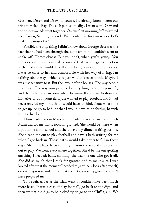Gorman. Derek and Drew, of course, I'd already known from our trips to Helen's Bay. The club put us into digs. I went with Drew and the other two lads went together. On our first morning Jeff reassured me. 'Listen, Sammy,' he said. 'We're only here for two weeks. Let's make the most of it.'

Possibly the only thing I didn't know about George Best was the fact that he had been through the same emotion I couldn't seem to shake off. Homesickness. But you don't, when you're young. You think everything is personal to you and that every negative emotion is the end of the world. It killed me being away from my mother. I was so close to her and comfortable with her way of living. I'm talking about ways which you just wouldn't even think. Maybe I was just sensitive to it. But the layout of the houses. The way people would eat. The way your parents do everything to govern your life, and then when you are somewhere by yourself you have to show the initiative to do it yourself. I just wanted to play football and it had never entered my mind that I would have to think about what time to get up, or go to bed, or that I would have to be forthright with things that I ate.

Those early days in Manchester made me realise just how much Mum did for me that I took for granted. She would be there when I got home from school and she'd have my dinner waiting for me. She'd send me out to play football and have a bath waiting for me when I got back in. Those baths would take hours to fill in those days. She must have been running it from the second she sent me out to play. We went everywhere together. She'd be the one getting anything I needed; balls, clothing, she was the one who got it all. She did so much that I took for granted and to make sure I was looked after that the moment I needed to genuinely look after myself, everything was so unfamiliar that even Bob's testing ground couldn't have prepared me.

To be fair, as far as the trials went, it couldn't have been much more basic. It was a case of play football, go back to the digs, and then wait at the digs to be picked up to go to the Cliff again. We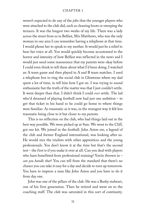weren't expected to do any of the jobs that the younger players who were attached to the club did, such as cleaning boots or sweeping the terraces. It was the longest two weeks of my life. There was a lady across the street from us in Belfast, Mrs Matthews, who was the only woman in our area I can remember having a telephone at that time. I would phone her to speak to my mother. It would just be a relief to hear her voice at all. You would quickly become accustomed to the horror and intensity of how Belfast was reflected in the news and I would just need some reassurance that my parents were okay before I could even think to tell them about what I'd been doing. I watched an A team game and then played in A and B team matches. I used a telephone box to ring the social club in Glentoran where my dad spent a lot of time, to tell him how I got on. I was trying to sound enthusiastic but the truth of the matter was that I just couldn't settle. It went deeper than that. I didn't think I could *ever* settle. The lad who'd dreamed of playing football now had just one ambition – to get that ticket in his hand so he could go home to where things were familiar. As traumatic as it was, in the strangest way it felt less traumatic being close to it but closer to my parents.

This is no reflection on the club, who had things laid out in the best way possible. We were picked up at 9am. We went to the Cliff, got our kit. We joined in the football. John Aston snr, a legend of the club and former England international, was looking after us. He would mix the trialists with other apprentices and the young professionals. You don't know it at the time but that's the second test – the first is if you make it over at all. Can you deal with players who have benefitted from professional training? You're thrown in *can you handle that*? You can tell from the standard that there's no chance you can take it easy for a day and decide to turn up tomorrow. You have to impress a man like John Aston and you have to do it from day one.

John was one of the pillars of the club. He was a Busby stalwart, one of his first generation. Then he retired and went on to the coaching staff. The club was saturated in this sort of continuity.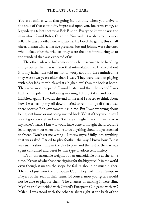You are familiar with that going in, but only when you arrive is the scale of that continuity impressed upon you. Joe Armstrong, as legendary a talent spotter as Bob Bishop. Everyone knew he was the man who'd found Bobby Charlton. You couldn't wish to meet a nicer fella. He was a football encyclopaedia. He loved the game, this small cheerful man with a massive presence. Joe and Johnny were the ones who looked after the trialists, they were the ones introducing us to the standard that was expected of us.

The other lads who had come over with me seemed to be handling things better than I was. Even that intimidated me. I talked about it to my father. He told me not to worry about it. He reminded me they were two years older than I was. They were used to playing with older lads, they'd played at a higher level than me back at home. They were more prepared. I would listen and then the second I was back on the pitch the following morning I'd forget it all and become inhibited again. Towards the end of the trial I started to think about how I was letting myself down. I tried to remind myself that I was there because Bob saw something in me. But I was worrying about being sent home or not being invited back. What if they would say I wasn't good enough or I wasn't strong enough? It would have broken my father's heart. I knew it would have done. I thought that I couldn't let it happen – but when it came to do anything about it, I just seemed to freeze. Don't get me wrong – I threw myself fully into anything that was asked. I tried to play football the way I knew how. But it was such a short time in the day to play, and the rest of the day was spent consumed and beset by this type of adolescent anxiety.

It's an unreasonable weight, but an unavoidable one at the same time. It's part of what happens signing for the biggest club in the world even though it means the scope for failure should be much higher. They had just won the European Cup. They had three European Players of the Year in their team. Of course, most youngsters would not be able to play for them. The chances of making it were slim. My first trial coincided with United's European Cup game with AC Milan. I was stood with the other trialists right at the back of the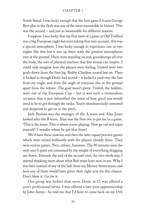South Stand. I was lucky enough that the first game I'd seen George Best play in the flesh was one of the most memorable in history. This was the second – and just as memorable for different reasons.

I suppose I was lucky that my first taste of a game at Old Trafford was a big European night but even taking that into account, this was a special atmosphere. I was lucky enough to experience one or two nights like this but it was up there with the greatest atmospheres ever at the ground. Hairs were standing on end, goosebumps all over the body, the sort of physical reaction that few arenas can inspire. I could only imagine how the players were feeling. United were two goals down from the first leg. Bobby Charlton scored late on. Then it looked as though Denis had scored – it looked a yard over the line from my angle, and from the angle of everyone else in the ground apart from the referee. The goal wasn't given. United, the holders, were out of the European Cup – but it was such a tremendous occasion that it just intensified the sense of how good you would need to be to get through the ranks. You're simultaneously overawed and desperate to get on to the pitch.

Jack Pauline was the manager of the A team and Alan Jones looked after the B team. Alan was the first one to put me in a game. 'This is the team. This is where you're playing. Now go out and enjoy yourself.' I wonder where he got that from?

We'd have these matches and then the inter-squad practice games which were mixed brilliantly with the players already there. They were serious games. Nets, referee, linesmen. The 90 minutes were the only ones I spent not consumed by the weight of everything dragging me down. Towards the end of the second trial, the two-week stay, I started thinking more about what Bob must have seen in me. Why I was here instead of any of the lads from my Mersey Street team, and how any of them would have given their right arm for this chance. Don't blow it. Go for it.

Our group was luckier than most. Drew, at 17, was offered a year's professional terms. I was offered a two-year apprenticeship by John Aston – he told me that I'd have to come back on my 15th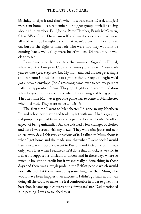birthday to sign it and that's when it would start. Derek and Jeff were sent home. I can remember our bigger group of trialists being about 15 in number. Paul Jones, Peter Fletcher, Frank McGivern, Clive Wakefield, Drew, myself and maybe one more lad were all told we'd be brought back. That wasn't a bad number to take on, but for the eight or nine lads who were told they wouldn't be coming back, well, they were heartbroken. Distraught. It was clear to see.

I can remember the local talk that summer. Signed to United, who'd won the European Cup the previous year? *You must have made your parents a few bob from that*. My mum and dad did not get a single shilling from United for me to sign for them. People thought we'd got a brown envelope. Joe Armstrong came over to see my parents with the apprentice forms. They got flights and accommodation when I signed, so they could see where I was living and being put up. The first time Mum ever got on a plane was to come to Manchester when I signed. They were made up with it.

The first time I went to Manchester I'd gone in my Northern Ireland schoolboy blazer and took my kit with me. I had a grey tie, red jumper, a pair of trousers and a pair of football boots. Another aspect of being unfamiliar. All the lads had a few changes of clothes and here I was stuck with my blazer. They wore nice jeans and new shirts every day. I felt very conscious of it. I talked to Mum about it when I got home and she made sure that when I went back I would have a new wardrobe. She went to Burtons and kitted me out. It was only years later when I realised she'd done that on tick, as we said in Belfast. I suppose it's difficult to understand in these days where so much is bought on credit but it wasn't really a done thing in those days and there was a tough pride in the Belfast people which would normally prohibit them from doing something like that. Mum, who would have been happier than anyone if I didn't go back at all, was doing all she could to make me feel comfortable in order to give it the best shot. It came up in conversation a few years later, Dad mentioned it in passing. I was so touched by it.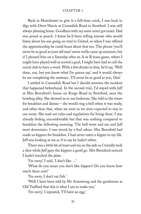Back in Manchester to give it a full-time crack, I was back in digs with Drew Harris at Cavendish Road in Stretford. I was still always phoning home. Goodbyes with my mum never got easier. Dad was proud as punch. I knew he'd been telling anyone who would listen about his son going on trial to United, so when I was offered the apprenticeship he could boast about that too. The phrase 'you'll never be as good as your old man' never really came up anymore, but if I phoned him on a Saturday after an A or B team game, where I might have played well or scored a goal, I might have had to call the social club to have a word. With a few drinks in him, he'd say, 'Well done, son, but you know what I'm gonna say,' and it would always be me completing the sentence. 'I'll never be as good as you, Dad.'

I settled in Cavendish Road but I should mention the incident that happened beforehand. In the second trial, I'd stayed with Jeff at Mrs Beresford's house on Kings Road in Stretford, near the bowling alley. She showed us to our bedroom. She told us the times for breakfast and dinner – she would ring a bell when it was ready, and other than that, when we were in we were expected to stay in our room. She read out rules and regulations for living there. I was already feeling uncomfortable but that was nothing compared to breakfast the following morning. The bell went and me and Jeff went downstairs. I was struck by a foul odour. Mrs Beresford had made us kippers for breakfast. I had never eaten a kipper in my life. Jeff was looking at me as if to say he hadn't either.

There was a little bit of toast and tea on the side so I timidly took a slice while Jeff gave the kippers a good go. Mrs Beresford noticed I hadn't touched the plate.

'I'm sorry,' I said, 'I don't like …'

'What do you mean you don't like kippers? Do you know how much these cost?'

'I'm sorry, I don't eat fish.'

'Well I have been told by Mr Armstrong and the gentlemen at Old Trafford that this is what I am to make you.'

'I'm sorry,' I repeated, 'I'll have an egg.'